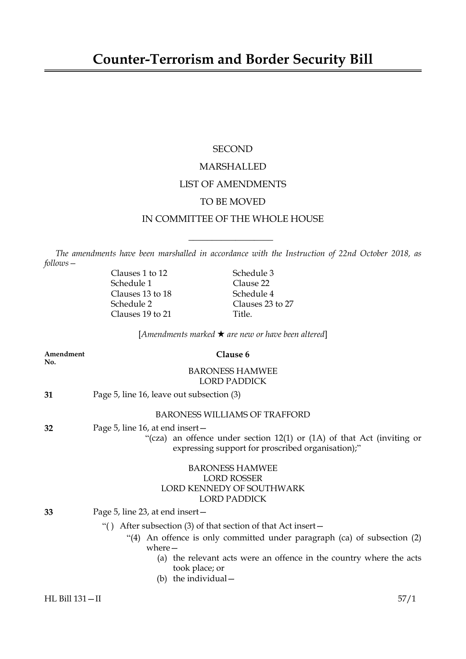# **SECOND** MARSHALLED LIST OF AMENDMENTS TO BE MOVED IN COMMITTEE OF THE WHOLE HOUSE

*The amendments have been marshalled in accordance with the Instruction of 22nd October 2018, as follows—*

 $\overline{\phantom{a}}$  , where  $\overline{\phantom{a}}$ 

Clauses 1 to 12 Schedule 3 Schedule 1 Clause 22<br>
Clauses 13 to 18 Schedule 4 Clauses 13 to  $18$ Schedule 2 Clauses 23 to 27 Clauses 19 to 21 Title.

[*Amendments marked* \* *are new or have been altered*]

| Amendment<br>No. | Clause 6                                                                                                                                                                                                                                                                           |
|------------------|------------------------------------------------------------------------------------------------------------------------------------------------------------------------------------------------------------------------------------------------------------------------------------|
|                  | <b>BARONESS HAMWEE</b><br><b>LORD PADDICK</b>                                                                                                                                                                                                                                      |
| 31               | Page 5, line 16, leave out subsection (3)                                                                                                                                                                                                                                          |
|                  | <b>BARONESS WILLIAMS OF TRAFFORD</b>                                                                                                                                                                                                                                               |
| 32               | Page 5, line 16, at end insert –<br>"(cza) an offence under section $12(1)$ or $(1A)$ of that Act (inviting or<br>expressing support for proscribed organisation);"                                                                                                                |
|                  | <b>BARONESS HAMWEE</b><br><b>LORD ROSSER</b><br>LORD KENNEDY OF SOUTHWARK<br><b>LORD PADDICK</b>                                                                                                                                                                                   |
| 33               | Page 5, line 23, at end insert –                                                                                                                                                                                                                                                   |
|                  | After subsection $(3)$ of that section of that Act insert $-$<br>An offence is only committed under paragraph (ca) of subsection (2)<br>$\cdot$ (4)<br>$where-$<br>(a) the relevant acts were an offence in the country where the acts<br>took place; or<br>(b) the individual $-$ |
| HL Bill 131-II   | 57/1                                                                                                                                                                                                                                                                               |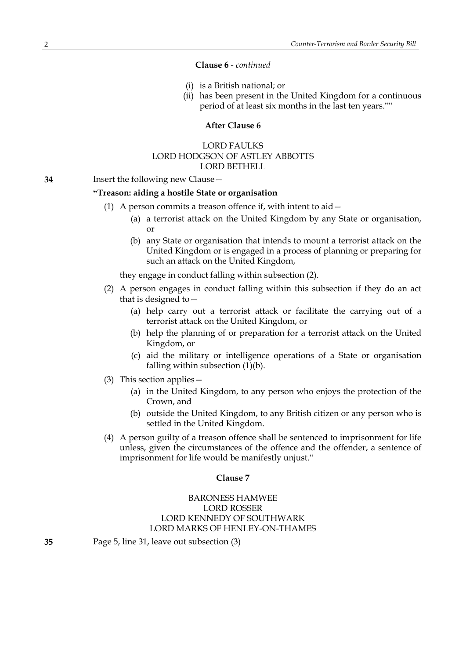#### **Clause 6** *- continued*

- (i) is a British national; or
- (ii) has been present in the United Kingdom for a continuous period of at least six months in the last ten years.""

# **After Clause 6**

# LORD FAULKS LORD HODGSON OF ASTLEY ABBOTTS LORD BETHELL

**34** Insert the following new Clause—

#### **"Treason: aiding a hostile State or organisation**

- (1) A person commits a treason offence if, with intent to aid—
	- (a) a terrorist attack on the United Kingdom by any State or organisation, or
	- (b) any State or organisation that intends to mount a terrorist attack on the United Kingdom or is engaged in a process of planning or preparing for such an attack on the United Kingdom,

they engage in conduct falling within subsection (2).

- (2) A person engages in conduct falling within this subsection if they do an act that is designed to—
	- (a) help carry out a terrorist attack or facilitate the carrying out of a terrorist attack on the United Kingdom, or
	- (b) help the planning of or preparation for a terrorist attack on the United Kingdom, or
	- (c) aid the military or intelligence operations of a State or organisation falling within subsection  $(1)(b)$ .
- (3) This section applies—
	- (a) in the United Kingdom, to any person who enjoys the protection of the Crown, and
	- (b) outside the United Kingdom, to any British citizen or any person who is settled in the United Kingdom.
- (4) A person guilty of a treason offence shall be sentenced to imprisonment for life unless, given the circumstances of the offence and the offender, a sentence of imprisonment for life would be manifestly unjust."

#### **Clause 7**

# BARONESS HAMWEE LORD ROSSER LORD KENNEDY OF SOUTHWARK LORD MARKS OF HENLEY-ON-THAMES

**35** Page 5, line 31, leave out subsection (3)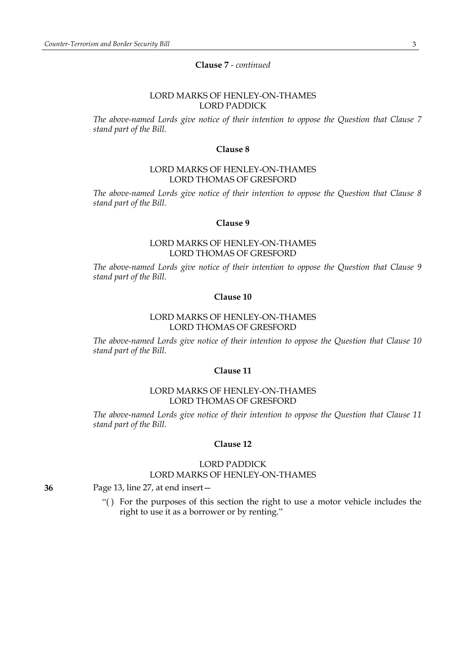## **Clause 7** *- continued*

## LORD MARKS OF HENLEY-ON-THAMES LORD PADDICK

*The above-named Lords give notice of their intention to oppose the Question that Clause 7 stand part of the Bill.*

#### **Clause 8**

## LORD MARKS OF HENLEY-ON-THAMES LORD THOMAS OF GRESFORD

*The above-named Lords give notice of their intention to oppose the Question that Clause 8 stand part of the Bill.*

## **Clause 9**

# LORD MARKS OF HENLEY-ON-THAMES LORD THOMAS OF GRESFORD

*The above-named Lords give notice of their intention to oppose the Question that Clause 9 stand part of the Bill.*

# **Clause 10**

## LORD MARKS OF HENLEY-ON-THAMES LORD THOMAS OF GRESFORD

*The above-named Lords give notice of their intention to oppose the Question that Clause 10 stand part of the Bill.*

## **Clause 11**

## LORD MARKS OF HENLEY-ON-THAMES LORD THOMAS OF GRESFORD

*The above-named Lords give notice of their intention to oppose the Question that Clause 11 stand part of the Bill.*

#### **Clause 12**

# LORD PADDICK LORD MARKS OF HENLEY-ON-THAMES

**36** Page 13, line 27, at end insert—

"( ) For the purposes of this section the right to use a motor vehicle includes the right to use it as a borrower or by renting."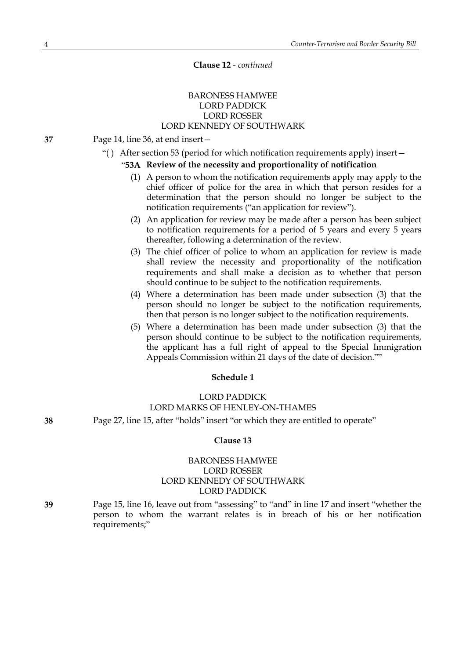## **Clause 12** *- continued*

## BARONESS HAMWEE LORD PADDICK LORD ROSSER LORD KENNEDY OF SOUTHWARK

- **37** Page 14, line 36, at end insert—
	- "( ) After section 53 (period for which notification requirements apply) insert—

#### "**53A Review of the necessity and proportionality of notification**

- (1) A person to whom the notification requirements apply may apply to the chief officer of police for the area in which that person resides for a determination that the person should no longer be subject to the notification requirements ("an application for review").
- (2) An application for review may be made after a person has been subject to notification requirements for a period of 5 years and every 5 years thereafter, following a determination of the review.
- (3) The chief officer of police to whom an application for review is made shall review the necessity and proportionality of the notification requirements and shall make a decision as to whether that person should continue to be subject to the notification requirements.
- (4) Where a determination has been made under subsection (3) that the person should no longer be subject to the notification requirements, then that person is no longer subject to the notification requirements.
- (5) Where a determination has been made under subsection (3) that the person should continue to be subject to the notification requirements, the applicant has a full right of appeal to the Special Immigration Appeals Commission within 21 days of the date of decision.""

#### **Schedule 1**

# LORD PADDICK LORD MARKS OF HENLEY-ON-THAMES

**38** Page 27, line 15, after "holds" insert "or which they are entitled to operate"

#### **Clause 13**

# BARONESS HAMWEE LORD ROSSER LORD KENNEDY OF SOUTHWARK LORD PADDICK

**39** Page 15, line 16, leave out from "assessing" to "and" in line 17 and insert "whether the person to whom the warrant relates is in breach of his or her notification requirements;"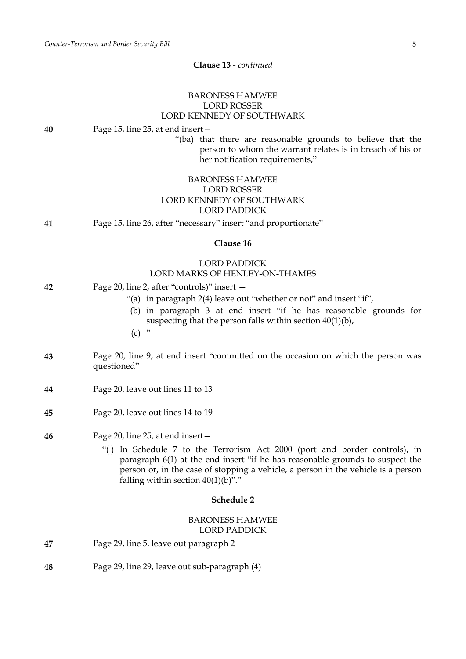**Clause 13** *- continued*

# BARONESS HAMWEE LORD ROSSER LORD KENNEDY OF SOUTHWARK

|            | LORD KENNEDY OF SOUTHWARK                                                                                                                                                                                                                                                                 |  |
|------------|-------------------------------------------------------------------------------------------------------------------------------------------------------------------------------------------------------------------------------------------------------------------------------------------|--|
| 40         | Page 15, line 25, at end insert –<br>"(ba) that there are reasonable grounds to believe that the<br>person to whom the warrant relates is in breach of his or<br>her notification requirements,"                                                                                          |  |
|            | <b>BARONESS HAMWEE</b><br><b>LORD ROSSER</b><br>LORD KENNEDY OF SOUTHWARK<br><b>LORD PADDICK</b>                                                                                                                                                                                          |  |
| 41         | Page 15, line 26, after "necessary" insert "and proportionate"                                                                                                                                                                                                                            |  |
| Clause 16  |                                                                                                                                                                                                                                                                                           |  |
|            | <b>LORD PADDICK</b><br>LORD MARKS OF HENLEY-ON-THAMES                                                                                                                                                                                                                                     |  |
| 42         | Page 20, line 2, after "controls)" insert –                                                                                                                                                                                                                                               |  |
|            | "(a) in paragraph 2(4) leave out "whether or not" and insert "if",                                                                                                                                                                                                                        |  |
|            | (b) in paragraph 3 at end insert "if he has reasonable grounds for<br>suspecting that the person falls within section $40(1)(b)$ ,<br>,,<br>(c)                                                                                                                                           |  |
| 43         | Page 20, line 9, at end insert "committed on the occasion on which the person was<br>questioned"                                                                                                                                                                                          |  |
| 44         | Page 20, leave out lines 11 to 13                                                                                                                                                                                                                                                         |  |
| 45         | Page 20, leave out lines 14 to 19                                                                                                                                                                                                                                                         |  |
| 46         | Page 20, line 25, at end insert -                                                                                                                                                                                                                                                         |  |
|            | "() In Schedule 7 to the Terrorism Act 2000 (port and border controls), in<br>paragraph 6(1) at the end insert "if he has reasonable grounds to suspect the<br>person or, in the case of stopping a vehicle, a person in the vehicle is a person<br>falling within section $40(1)(b)$ "." |  |
| Schedule 2 |                                                                                                                                                                                                                                                                                           |  |
|            | <b>BARONESS HAMWEE</b><br><b>LORD PADDICK</b>                                                                                                                                                                                                                                             |  |
| 47         | Page 29, line 5, leave out paragraph 2                                                                                                                                                                                                                                                    |  |
|            |                                                                                                                                                                                                                                                                                           |  |

**48** Page 29, line 29, leave out sub-paragraph (4)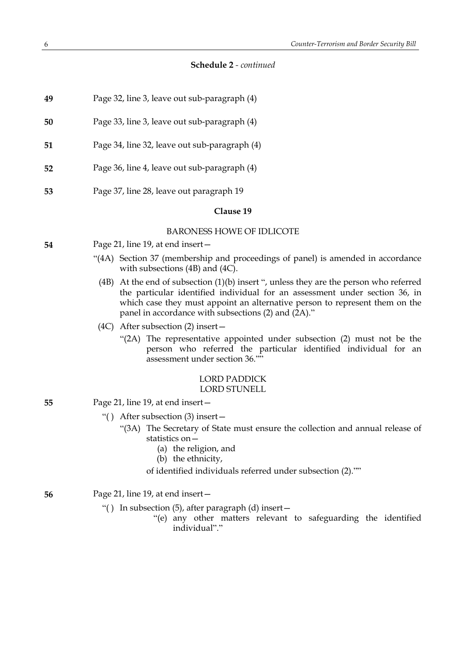- **49** Page 32, line 3, leave out sub-paragraph (4)
- **50** Page 33, line 3, leave out sub-paragraph (4)
- **51** Page 34, line 32, leave out sub-paragraph (4)
- **52** Page 36, line 4, leave out sub-paragraph (4)
- **53** Page 37, line 28, leave out paragraph 19

## **Clause 19**

## BARONESS HOWE OF IDLICOTE

- **54** Page 21, line 19, at end insert—
	- "(4A) Section 37 (membership and proceedings of panel) is amended in accordance with subsections (4B) and (4C).
		- (4B) At the end of subsection (1)(b) insert ", unless they are the person who referred the particular identified individual for an assessment under section 36, in which case they must appoint an alternative person to represent them on the panel in accordance with subsections (2) and (2A)."
	- (4C) After subsection (2) insert—
		- "(2A) The representative appointed under subsection (2) must not be the person who referred the particular identified individual for an assessment under section 36.""

#### LORD PADDICK LORD STUNELL

- **55** Page 21, line 19, at end insert—
	- "( ) After subsection (3) insert—
		- "(3A) The Secretary of State must ensure the collection and annual release of statistics on—
			- (a) the religion, and
			- (b) the ethnicity,
			- of identified individuals referred under subsection (2).""

# **56** Page 21, line 19, at end insert—

- "( ) In subsection (5), after paragraph (d) insert—
	- "(e) any other matters relevant to safeguarding the identified individual"."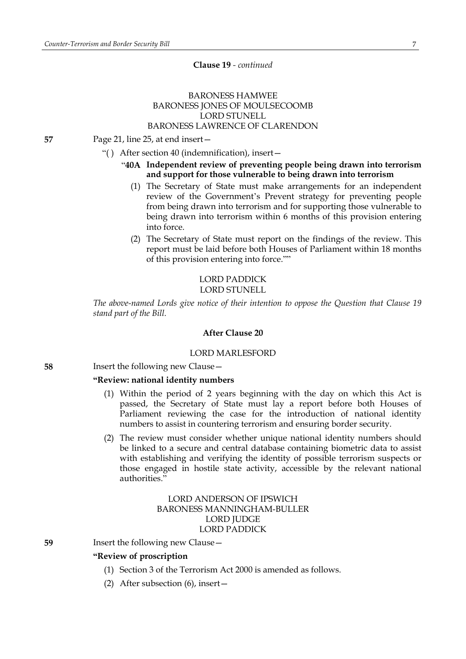#### **Clause 19** *- continued*

# BARONESS HAMWEE BARONESS JONES OF MOULSECOOMB LORD STUNELL BARONESS LAWRENCE OF CLARENDON

**57** Page 21, line 25, at end insert—

- "( ) After section 40 (indemnification), insert—
	- "**40A Independent review of preventing people being drawn into terrorism and support for those vulnerable to being drawn into terrorism**
		- (1) The Secretary of State must make arrangements for an independent review of the Government's Prevent strategy for preventing people from being drawn into terrorism and for supporting those vulnerable to being drawn into terrorism within 6 months of this provision entering into force.
		- (2) The Secretary of State must report on the findings of the review. This report must be laid before both Houses of Parliament within 18 months of this provision entering into force.""

# LORD PADDICK LORD STUNELL

*The above-named Lords give notice of their intention to oppose the Question that Clause 19 stand part of the Bill.*

#### **After Clause 20**

#### LORD MARLESFORD

**58** Insert the following new Clause—

#### **"Review: national identity numbers**

- (1) Within the period of 2 years beginning with the day on which this Act is passed, the Secretary of State must lay a report before both Houses of Parliament reviewing the case for the introduction of national identity numbers to assist in countering terrorism and ensuring border security.
- (2) The review must consider whether unique national identity numbers should be linked to a secure and central database containing biometric data to assist with establishing and verifying the identity of possible terrorism suspects or those engaged in hostile state activity, accessible by the relevant national authorities."

# LORD ANDERSON OF IPSWICH BARONESS MANNINGHAM-BULLER LORD JUDGE LORD PADDICK

#### **59** Insert the following new Clause—

## **"Review of proscription**

- (1) Section 3 of the Terrorism Act 2000 is amended as follows.
- (2) After subsection (6), insert—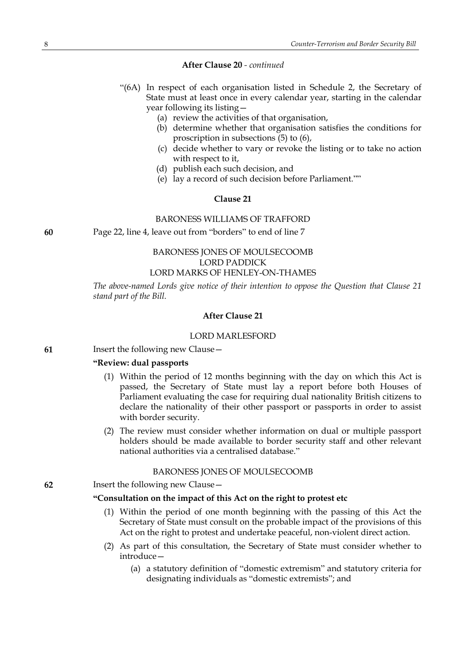#### **After Clause 20** *- continued*

- "(6A) In respect of each organisation listed in Schedule 2, the Secretary of State must at least once in every calendar year, starting in the calendar year following its listing—
	- (a) review the activities of that organisation,
	- (b) determine whether that organisation satisfies the conditions for proscription in subsections (5) to (6),
	- (c) decide whether to vary or revoke the listing or to take no action with respect to it,
	- (d) publish each such decision, and
	- (e) lay a record of such decision before Parliament.""

#### **Clause 21**

#### BARONESS WILLIAMS OF TRAFFORD

**60** Page 22, line 4, leave out from "borders" to end of line 7

## BARONESS JONES OF MOULSECOOMB LORD PADDICK LORD MARKS OF HENLEY-ON-THAMES

*The above-named Lords give notice of their intention to oppose the Question that Clause 21 stand part of the Bill.*

#### **After Clause 21**

#### LORD MARLESFORD

**61** Insert the following new Clause—

## **"Review: dual passports**

- (1) Within the period of 12 months beginning with the day on which this Act is passed, the Secretary of State must lay a report before both Houses of Parliament evaluating the case for requiring dual nationality British citizens to declare the nationality of their other passport or passports in order to assist with border security.
- (2) The review must consider whether information on dual or multiple passport holders should be made available to border security staff and other relevant national authorities via a centralised database."

#### BARONESS JONES OF MOULSECOOMB

**62** Insert the following new Clause—

#### **"Consultation on the impact of this Act on the right to protest etc**

- (1) Within the period of one month beginning with the passing of this Act the Secretary of State must consult on the probable impact of the provisions of this Act on the right to protest and undertake peaceful, non-violent direct action.
- (2) As part of this consultation, the Secretary of State must consider whether to introduce—
	- (a) a statutory definition of "domestic extremism" and statutory criteria for designating individuals as "domestic extremists"; and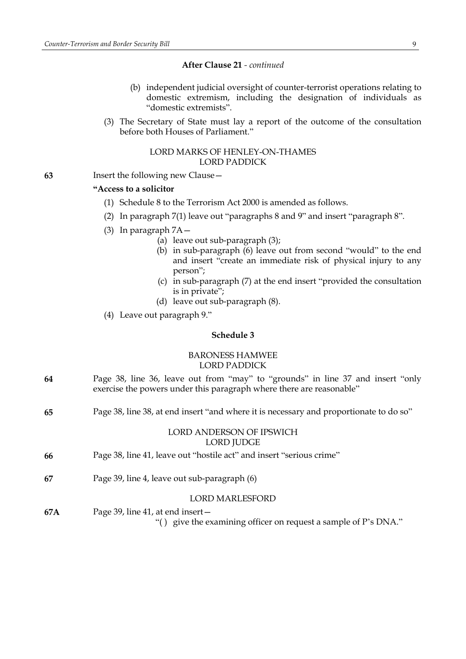## **After Clause 21** *- continued*

- (b) independent judicial oversight of counter-terrorist operations relating to domestic extremism, including the designation of individuals as "domestic extremists".
- (3) The Secretary of State must lay a report of the outcome of the consultation before both Houses of Parliament."

#### LORD MARKS OF HENLEY-ON-THAMES LORD PADDICK

**63** Insert the following new Clause—

## **"Access to a solicitor**

- (1) Schedule 8 to the Terrorism Act 2000 is amended as follows.
- (2) In paragraph 7(1) leave out "paragraphs 8 and 9" and insert "paragraph 8".
- (3) In paragraph 7A—
	- (a) leave out sub-paragraph (3);
	- (b) in sub-paragraph (6) leave out from second "would" to the end and insert "create an immediate risk of physical injury to any person";
	- (c) in sub-paragraph (7) at the end insert "provided the consultation is in private";
	- (d) leave out sub-paragraph (8).
- (4) Leave out paragraph 9."

# **Schedule 3**

# BARONESS HAMWEE LORD PADDICK

- **64** Page 38, line 36, leave out from "may" to "grounds" in line 37 and insert "only exercise the powers under this paragraph where there are reasonable"
- **65** Page 38, line 38, at end insert "and where it is necessary and proportionate to do so"

# LORD ANDERSON OF IPSWICH LORD JUDGE

- **66** Page 38, line 41, leave out "hostile act" and insert "serious crime"
- **67** Page 39, line 4, leave out sub-paragraph (6)

#### LORD MARLESFORD

**67A** Page 39, line 41, at end insert—

"( ) give the examining officer on request a sample of P's DNA."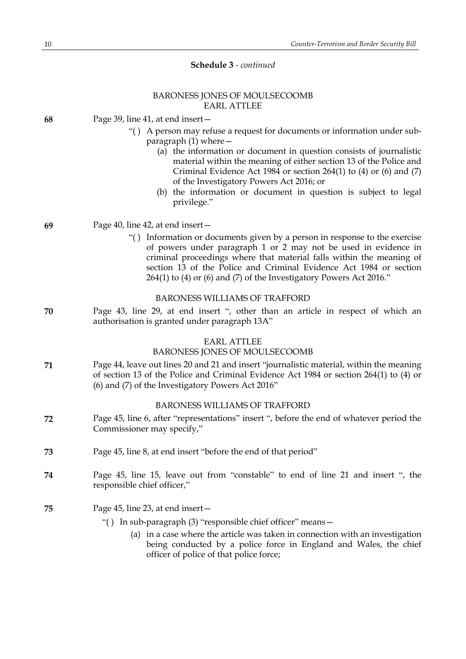## BARONESS JONES OF MOULSECOOMB EARL ATTLEE

| Page 39, line 41, at end insert -<br>68 |  |
|-----------------------------------------|--|
|-----------------------------------------|--|

- "( ) A person may refuse a request for documents or information under subparagraph  $(1)$  where  $-$ 
	- (a) the information or document in question consists of journalistic material within the meaning of either section 13 of the Police and Criminal Evidence Act  $198\overline{4}$  or section 264(1) to (4) or (6) and (7) of the Investigatory Powers Act 2016; or
	- (b) the information or document in question is subject to legal privilege."

#### **69** Page 40, line 42, at end insert—

"( ) Information or documents given by a person in response to the exercise of powers under paragraph 1 or 2 may not be used in evidence in criminal proceedings where that material falls within the meaning of section 13 of the Police and Criminal Evidence Act 1984 or section 264(1) to (4) or (6) and (7) of the Investigatory Powers Act 2016."

## BARONESS WILLIAMS OF TRAFFORD

**70** Page 43, line 29, at end insert ", other than an article in respect of which an authorisation is granted under paragraph 13A"

## EARL ATTLEE

#### BARONESS JONES OF MOULSECOOMB

**71** Page 44, leave out lines 20 and 21 and insert "journalistic material, within the meaning of section 13 of the Police and Criminal Evidence Act 1984 or section 264(1) to (4) or (6) and (7) of the Investigatory Powers Act 2016"

## BARONESS WILLIAMS OF TRAFFORD

- **72** Page 45, line 6, after "representations" insert ", before the end of whatever period the Commissioner may specify,"
- **73** Page 45, line 8, at end insert "before the end of that period"
- **74** Page 45, line 15, leave out from "constable" to end of line 21 and insert ", the responsible chief officer,"
- **75** Page 45, line 23, at end insert—
	- "( ) In sub-paragraph (3) "responsible chief officer" means—
		- (a) in a case where the article was taken in connection with an investigation being conducted by a police force in England and Wales, the chief officer of police of that police force;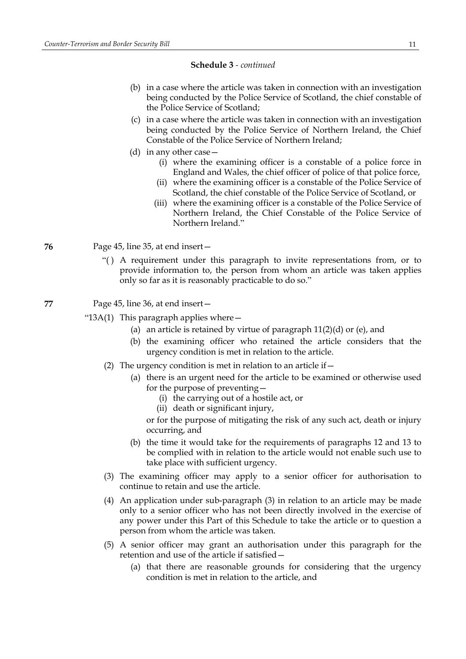- (b) in a case where the article was taken in connection with an investigation being conducted by the Police Service of Scotland, the chief constable of the Police Service of Scotland;
- (c) in a case where the article was taken in connection with an investigation being conducted by the Police Service of Northern Ireland, the Chief Constable of the Police Service of Northern Ireland;
- (d) in any other case—
	- (i) where the examining officer is a constable of a police force in England and Wales, the chief officer of police of that police force,
	- (ii) where the examining officer is a constable of the Police Service of Scotland, the chief constable of the Police Service of Scotland, or
	- (iii) where the examining officer is a constable of the Police Service of Northern Ireland, the Chief Constable of the Police Service of Northern Ireland."

**76** Page 45, line 35, at end insert—

"( ) A requirement under this paragraph to invite representations from, or to provide information to, the person from whom an article was taken applies only so far as it is reasonably practicable to do so."

**77** Page 45, line 36, at end insert—

" $13A(1)$  This paragraph applies where  $-$ 

- (a) an article is retained by virtue of paragraph  $11(2)(d)$  or (e), and
- (b) the examining officer who retained the article considers that the urgency condition is met in relation to the article.
- (2) The urgency condition is met in relation to an article if  $-$ 
	- (a) there is an urgent need for the article to be examined or otherwise used for the purpose of preventing—
		- (i) the carrying out of a hostile act, or
		- (ii) death or significant injury,

or for the purpose of mitigating the risk of any such act, death or injury occurring, and

- (b) the time it would take for the requirements of paragraphs 12 and 13 to be complied with in relation to the article would not enable such use to take place with sufficient urgency.
- (3) The examining officer may apply to a senior officer for authorisation to continue to retain and use the article.
- (4) An application under sub-paragraph (3) in relation to an article may be made only to a senior officer who has not been directly involved in the exercise of any power under this Part of this Schedule to take the article or to question a person from whom the article was taken.
- (5) A senior officer may grant an authorisation under this paragraph for the retention and use of the article if satisfied—
	- (a) that there are reasonable grounds for considering that the urgency condition is met in relation to the article, and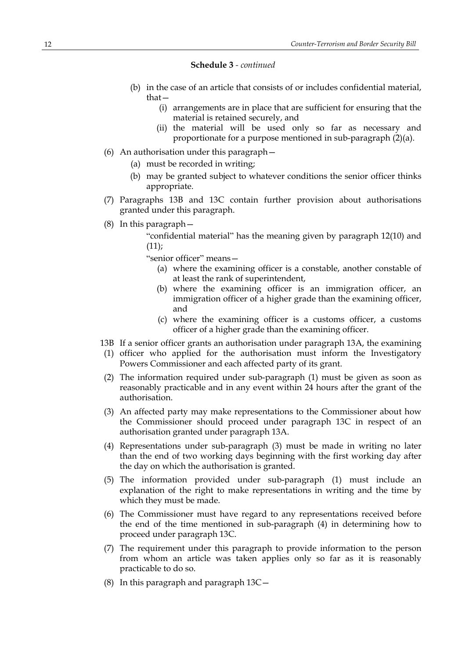- (b) in the case of an article that consists of or includes confidential material, that—
	- (i) arrangements are in place that are sufficient for ensuring that the material is retained securely, and
	- (ii) the material will be used only so far as necessary and proportionate for a purpose mentioned in sub-paragraph (2)(a).
- (6) An authorisation under this paragraph—
	- (a) must be recorded in writing;
	- (b) may be granted subject to whatever conditions the senior officer thinks appropriate.
- (7) Paragraphs 13B and 13C contain further provision about authorisations granted under this paragraph.
- (8) In this paragraph—

"confidential material" has the meaning given by paragraph 12(10) and  $(11)$ :

"senior officer" means—

- (a) where the examining officer is a constable, another constable of at least the rank of superintendent,
- (b) where the examining officer is an immigration officer, an immigration officer of a higher grade than the examining officer, and
- (c) where the examining officer is a customs officer, a customs officer of a higher grade than the examining officer.
- 13B If a senior officer grants an authorisation under paragraph 13A, the examining
- (1) officer who applied for the authorisation must inform the Investigatory Powers Commissioner and each affected party of its grant.
- (2) The information required under sub-paragraph (1) must be given as soon as reasonably practicable and in any event within 24 hours after the grant of the authorisation.
- (3) An affected party may make representations to the Commissioner about how the Commissioner should proceed under paragraph 13C in respect of an authorisation granted under paragraph 13A.
- (4) Representations under sub-paragraph (3) must be made in writing no later than the end of two working days beginning with the first working day after the day on which the authorisation is granted.
- (5) The information provided under sub-paragraph (1) must include an explanation of the right to make representations in writing and the time by which they must be made.
- (6) The Commissioner must have regard to any representations received before the end of the time mentioned in sub-paragraph (4) in determining how to proceed under paragraph 13C.
- (7) The requirement under this paragraph to provide information to the person from whom an article was taken applies only so far as it is reasonably practicable to do so.
- (8) In this paragraph and paragraph 13C—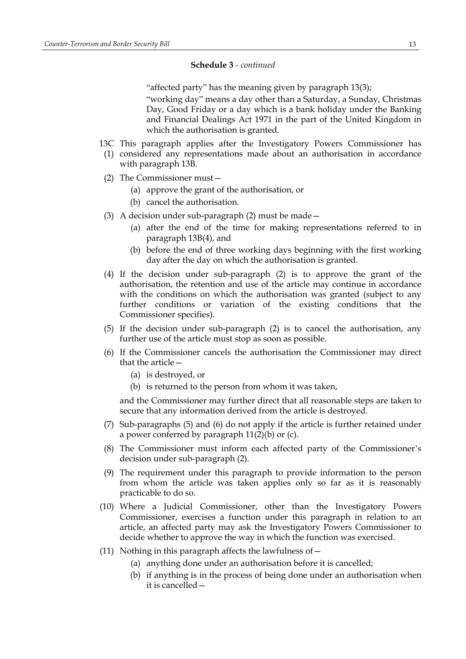"affected party" has the meaning given by paragraph 13(3);

"working day" means a day other than a Saturday, a Sunday, Christmas Day, Good Friday or a day which is a bank holiday under the Banking and Financial Dealings Act 1971 in the part of the United Kingdom in which the authorisation is granted.

- 13C This paragraph applies after the Investigatory Powers Commissioner has
- (1) considered any representations made about an authorisation in accordance with paragraph 13B.
- (2) The Commissioner must—
	- (a) approve the grant of the authorisation, or
	- (b) cancel the authorisation.
- (3) A decision under sub-paragraph (2) must be made—
	- (a) after the end of the time for making representations referred to in paragraph 13B(4), and
	- (b) before the end of three working days beginning with the first working day after the day on which the authorisation is granted.
- (4) If the decision under sub-paragraph (2) is to approve the grant of the authorisation, the retention and use of the article may continue in accordance with the conditions on which the authorisation was granted (subject to any further conditions or variation of the existing conditions that the Commissioner specifies).
- (5) If the decision under sub-paragraph (2) is to cancel the authorisation, any further use of the article must stop as soon as possible.
- (6) If the Commissioner cancels the authorisation the Commissioner may direct that the article—
	- (a) is destroyed, or
	- (b) is returned to the person from whom it was taken,

and the Commissioner may further direct that all reasonable steps are taken to secure that any information derived from the article is destroyed.

- (7) Sub-paragraphs (5) and (6) do not apply if the article is further retained under a power conferred by paragraph 11(2)(b) or (c).
- (8) The Commissioner must inform each affected party of the Commissioner's decision under sub-paragraph (2).
- (9) The requirement under this paragraph to provide information to the person from whom the article was taken applies only so far as it is reasonably practicable to do so.
- (10) Where a Judicial Commissioner, other than the Investigatory Powers Commissioner, exercises a function under this paragraph in relation to an article, an affected party may ask the Investigatory Powers Commissioner to decide whether to approve the way in which the function was exercised.
- (11) Nothing in this paragraph affects the lawfulness of—
	- (a) anything done under an authorisation before it is cancelled;
	- (b) if anything is in the process of being done under an authorisation when it is cancelled—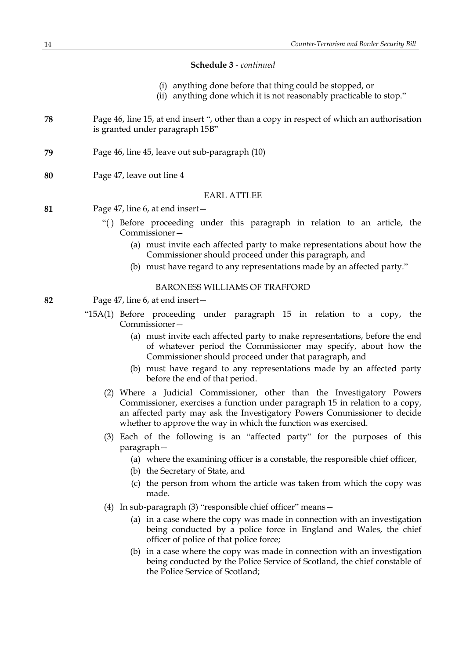- (i) anything done before that thing could be stopped, or
- (ii) anything done which it is not reasonably practicable to stop."
- **78** Page 46, line 15, at end insert ", other than a copy in respect of which an authorisation is granted under paragraph 15B"
- **79** Page 46, line 45, leave out sub-paragraph (10)
- **80** Page 47, leave out line 4

#### EARL ATTLEE

- **81** Page 47, line 6, at end insert—
	- "( ) Before proceeding under this paragraph in relation to an article, the Commissioner—
		- (a) must invite each affected party to make representations about how the Commissioner should proceed under this paragraph, and
		- (b) must have regard to any representations made by an affected party."

## BARONESS WILLIAMS OF TRAFFORD

- **82** Page 47, line 6, at end insert—
	- "15A(1) Before proceeding under paragraph 15 in relation to a copy, the Commissioner—
		- (a) must invite each affected party to make representations, before the end of whatever period the Commissioner may specify, about how the Commissioner should proceed under that paragraph, and
		- (b) must have regard to any representations made by an affected party before the end of that period.
		- (2) Where a Judicial Commissioner, other than the Investigatory Powers Commissioner, exercises a function under paragraph 15 in relation to a copy, an affected party may ask the Investigatory Powers Commissioner to decide whether to approve the way in which the function was exercised.
		- (3) Each of the following is an "affected party" for the purposes of this paragraph—
			- (a) where the examining officer is a constable, the responsible chief officer,
			- (b) the Secretary of State, and
			- (c) the person from whom the article was taken from which the copy was made.
		- (4) In sub-paragraph (3) "responsible chief officer" means—
			- (a) in a case where the copy was made in connection with an investigation being conducted by a police force in England and Wales, the chief officer of police of that police force;
			- (b) in a case where the copy was made in connection with an investigation being conducted by the Police Service of Scotland, the chief constable of the Police Service of Scotland;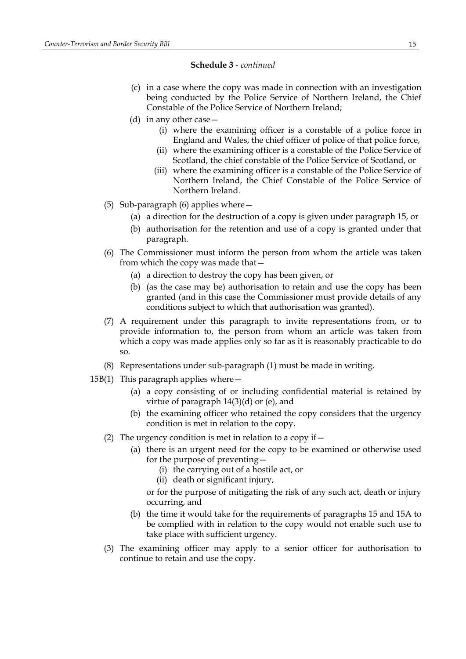- (c) in a case where the copy was made in connection with an investigation being conducted by the Police Service of Northern Ireland, the Chief Constable of the Police Service of Northern Ireland;
- (d) in any other case—
	- (i) where the examining officer is a constable of a police force in England and Wales, the chief officer of police of that police force,
	- (ii) where the examining officer is a constable of the Police Service of Scotland, the chief constable of the Police Service of Scotland, or
	- (iii) where the examining officer is a constable of the Police Service of Northern Ireland, the Chief Constable of the Police Service of Northern Ireland.
- (5) Sub-paragraph (6) applies where—
	- (a) a direction for the destruction of a copy is given under paragraph 15, or
	- (b) authorisation for the retention and use of a copy is granted under that paragraph.
- (6) The Commissioner must inform the person from whom the article was taken from which the copy was made that—
	- (a) a direction to destroy the copy has been given, or
	- (b) (as the case may be) authorisation to retain and use the copy has been granted (and in this case the Commissioner must provide details of any conditions subject to which that authorisation was granted).
- (7) A requirement under this paragraph to invite representations from, or to provide information to, the person from whom an article was taken from which a copy was made applies only so far as it is reasonably practicable to do so.
- (8) Representations under sub-paragraph (1) must be made in writing.
- 15B(1) This paragraph applies where  $-$ 
	- (a) a copy consisting of or including confidential material is retained by virtue of paragraph  $14(3)(d)$  or (e), and
	- (b) the examining officer who retained the copy considers that the urgency condition is met in relation to the copy.
	- (2) The urgency condition is met in relation to a copy if  $-$ 
		- (a) there is an urgent need for the copy to be examined or otherwise used for the purpose of preventing—
			- (i) the carrying out of a hostile act, or
			- (ii) death or significant injury,
			- or for the purpose of mitigating the risk of any such act, death or injury occurring, and
		- (b) the time it would take for the requirements of paragraphs 15 and 15A to be complied with in relation to the copy would not enable such use to take place with sufficient urgency.
	- (3) The examining officer may apply to a senior officer for authorisation to continue to retain and use the copy.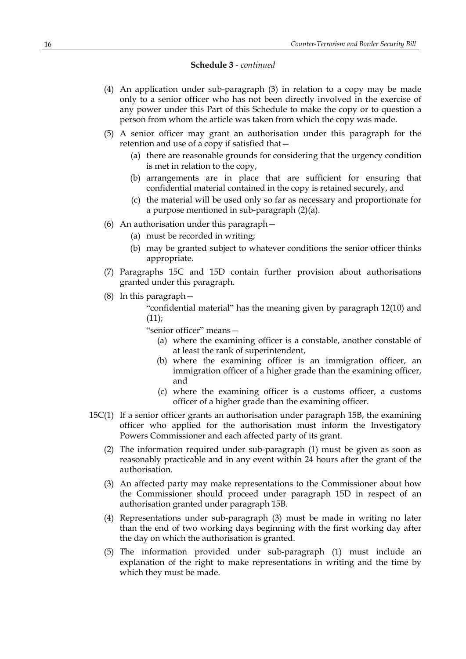- (4) An application under sub-paragraph (3) in relation to a copy may be made only to a senior officer who has not been directly involved in the exercise of any power under this Part of this Schedule to make the copy or to question a person from whom the article was taken from which the copy was made.
- (5) A senior officer may grant an authorisation under this paragraph for the retention and use of a copy if satisfied that—
	- (a) there are reasonable grounds for considering that the urgency condition is met in relation to the copy,
	- (b) arrangements are in place that are sufficient for ensuring that confidential material contained in the copy is retained securely, and
	- (c) the material will be used only so far as necessary and proportionate for a purpose mentioned in sub-paragraph (2)(a).
- (6) An authorisation under this paragraph—
	- (a) must be recorded in writing;
	- (b) may be granted subject to whatever conditions the senior officer thinks appropriate.
- (7) Paragraphs 15C and 15D contain further provision about authorisations granted under this paragraph.
- (8) In this paragraph—

"confidential material" has the meaning given by paragraph 12(10) and  $(11)$ :

"senior officer" means—

- (a) where the examining officer is a constable, another constable of at least the rank of superintendent,
- (b) where the examining officer is an immigration officer, an immigration officer of a higher grade than the examining officer, and
- (c) where the examining officer is a customs officer, a customs officer of a higher grade than the examining officer.
- 15C(1) If a senior officer grants an authorisation under paragraph 15B, the examining officer who applied for the authorisation must inform the Investigatory Powers Commissioner and each affected party of its grant.
	- (2) The information required under sub-paragraph (1) must be given as soon as reasonably practicable and in any event within 24 hours after the grant of the authorisation.
	- (3) An affected party may make representations to the Commissioner about how the Commissioner should proceed under paragraph 15D in respect of an authorisation granted under paragraph 15B.
	- (4) Representations under sub-paragraph (3) must be made in writing no later than the end of two working days beginning with the first working day after the day on which the authorisation is granted.
	- (5) The information provided under sub-paragraph (1) must include an explanation of the right to make representations in writing and the time by which they must be made.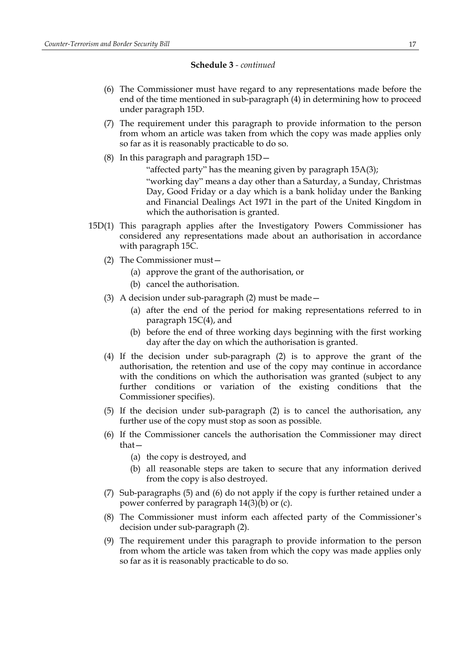- (6) The Commissioner must have regard to any representations made before the end of the time mentioned in sub-paragraph (4) in determining how to proceed under paragraph 15D.
- (7) The requirement under this paragraph to provide information to the person from whom an article was taken from which the copy was made applies only so far as it is reasonably practicable to do so.
- (8) In this paragraph and paragraph 15D—

"affected party" has the meaning given by paragraph 15A(3); "working day" means a day other than a Saturday, a Sunday, Christmas Day, Good Friday or a day which is a bank holiday under the Banking and Financial Dealings Act 1971 in the part of the United Kingdom in which the authorisation is granted.

- 15D(1) This paragraph applies after the Investigatory Powers Commissioner has considered any representations made about an authorisation in accordance with paragraph 15C.
	- (2) The Commissioner must—
		- (a) approve the grant of the authorisation, or
		- (b) cancel the authorisation.
	- (3) A decision under sub-paragraph (2) must be made—
		- (a) after the end of the period for making representations referred to in paragraph 15C(4), and
		- (b) before the end of three working days beginning with the first working day after the day on which the authorisation is granted.
	- (4) If the decision under sub-paragraph (2) is to approve the grant of the authorisation, the retention and use of the copy may continue in accordance with the conditions on which the authorisation was granted (subject to any further conditions or variation of the existing conditions that the Commissioner specifies).
	- (5) If the decision under sub-paragraph (2) is to cancel the authorisation, any further use of the copy must stop as soon as possible.
	- (6) If the Commissioner cancels the authorisation the Commissioner may direct that—
		- (a) the copy is destroyed, and
		- (b) all reasonable steps are taken to secure that any information derived from the copy is also destroyed.
	- (7) Sub-paragraphs (5) and (6) do not apply if the copy is further retained under a power conferred by paragraph 14(3)(b) or (c).
	- (8) The Commissioner must inform each affected party of the Commissioner's decision under sub-paragraph (2).
	- (9) The requirement under this paragraph to provide information to the person from whom the article was taken from which the copy was made applies only so far as it is reasonably practicable to do so.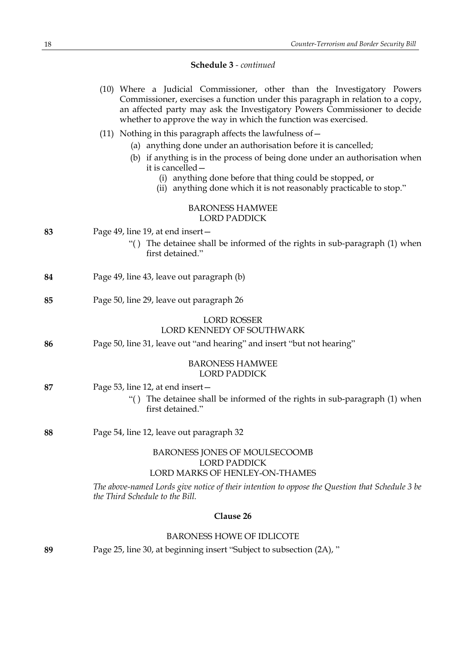|                                  | (10) Where a Judicial Commissioner, other than the Investigatory Powers<br>Commissioner, exercises a function under this paragraph in relation to a copy,<br>an affected party may ask the Investigatory Powers Commissioner to decide<br>whether to approve the way in which the function was exercised. |  |
|----------------------------------|-----------------------------------------------------------------------------------------------------------------------------------------------------------------------------------------------------------------------------------------------------------------------------------------------------------|--|
|                                  | (11) Nothing in this paragraph affects the lawfulness of $-$                                                                                                                                                                                                                                              |  |
|                                  | (a) anything done under an authorisation before it is cancelled;                                                                                                                                                                                                                                          |  |
|                                  | (b) if anything is in the process of being done under an authorisation when<br>it is cancelled -                                                                                                                                                                                                          |  |
|                                  | anything done before that thing could be stopped, or<br>(i)<br>(ii) anything done which it is not reasonably practicable to stop."                                                                                                                                                                        |  |
|                                  | <b>BARONESS HAMWEE</b><br><b>LORD PADDICK</b>                                                                                                                                                                                                                                                             |  |
| 83                               | Page 49, line 19, at end insert –                                                                                                                                                                                                                                                                         |  |
|                                  | "() The detainee shall be informed of the rights in sub-paragraph (1) when<br>first detained."                                                                                                                                                                                                            |  |
| 84                               | Page 49, line 43, leave out paragraph (b)                                                                                                                                                                                                                                                                 |  |
| 85                               | Page 50, line 29, leave out paragraph 26                                                                                                                                                                                                                                                                  |  |
|                                  | <b>LORD ROSSER</b><br><b>LORD KENNEDY OF SOUTHWARK</b>                                                                                                                                                                                                                                                    |  |
| 86                               | Page 50, line 31, leave out "and hearing" and insert "but not hearing"                                                                                                                                                                                                                                    |  |
|                                  | <b>BARONESS HAMWEE</b><br><b>LORD PADDICK</b>                                                                                                                                                                                                                                                             |  |
| 87                               | Page 53, line 12, at end insert –                                                                                                                                                                                                                                                                         |  |
|                                  | "() The detainee shall be informed of the rights in sub-paragraph (1) when<br>first detained."                                                                                                                                                                                                            |  |
| 88                               | Page 54, line 12, leave out paragraph 32                                                                                                                                                                                                                                                                  |  |
|                                  | BARONESS JONES OF MOULSECOOMB                                                                                                                                                                                                                                                                             |  |
|                                  | <b>LORD PADDICK</b><br>LORD MARKS OF HENLEY-ON-THAMES                                                                                                                                                                                                                                                     |  |
|                                  | The above-named Lords give notice of their intention to oppose the Question that Schedule 3 be<br>the Third Schedule to the Bill.                                                                                                                                                                         |  |
| Clause 26                        |                                                                                                                                                                                                                                                                                                           |  |
| <b>BARONESS HOWE OF IDLICOTE</b> |                                                                                                                                                                                                                                                                                                           |  |
| 89                               | Page 25, line 30, at beginning insert "Subject to subsection (2A), "                                                                                                                                                                                                                                      |  |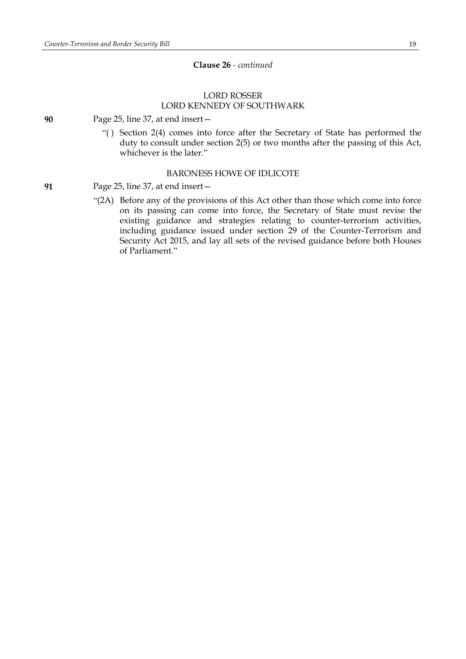## **Clause 26** *- continued*

# LORD ROSSER LORD KENNEDY OF SOUTHWARK

**90** Page 25, line 37, at end insert—

"( ) Section 2(4) comes into force after the Secretary of State has performed the duty to consult under section 2(5) or two months after the passing of this Act, whichever is the later."

#### BARONESS HOWE OF IDLICOTE

**91** Page 25, line 37, at end insert—

"(2A) Before any of the provisions of this Act other than those which come into force on its passing can come into force, the Secretary of State must revise the existing guidance and strategies relating to counter-terrorism activities, including guidance issued under section 29 of the Counter-Terrorism and Security Act 2015, and lay all sets of the revised guidance before both Houses of Parliament."